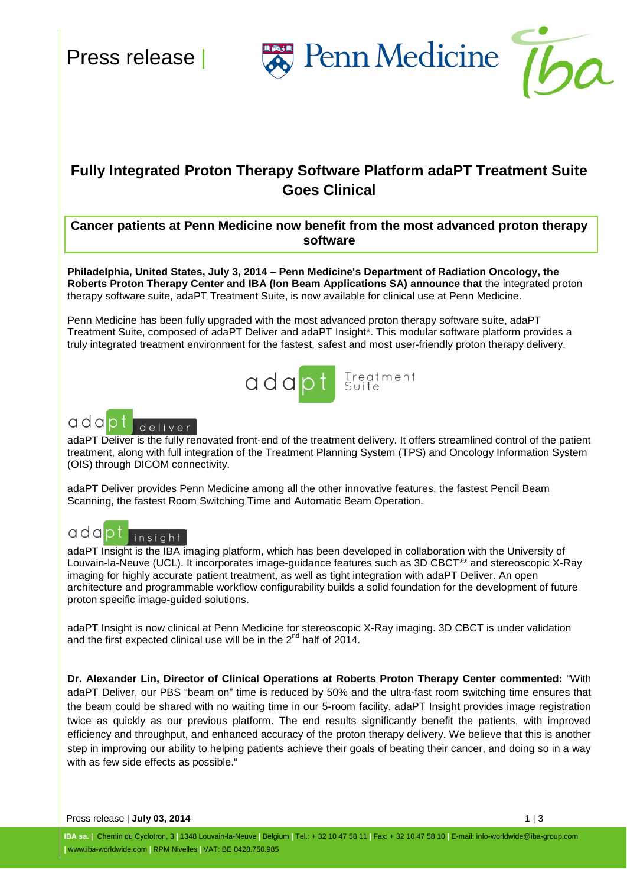Penn Medicine



## **Fully Integrated Proton Therapy Software Platform adaPT Treatment Suite Goes Clinical**

**Cancer patients at Penn Medicine now benefit from the most advanced proton therapy software**

**Philadelphia, United States, July 3, 2014** – **Penn Medicine's Department of Radiation Oncology, the Roberts Proton Therapy Center and IBA (Ion Beam Applications SA) announce that** the integrated proton therapy software suite, adaPT Treatment Suite, is now available for clinical use at Penn Medicine.

Penn Medicine has been fully upgraded with the most advanced proton therapy software suite, adaPT Treatment Suite, composed of adaPT Deliver and adaPT Insight\*. This modular software platform provides a truly integrated treatment environment for the fastest, safest and most user-friendly proton therapy delivery.





adaPT Deliver is the fully renovated front-end of the treatment delivery. It offers streamlined control of the patient treatment, along with full integration of the Treatment Planning System (TPS) and Oncology Information System (OIS) through DICOM connectivity.

adaPT Deliver provides Penn Medicine among all the other innovative features, the fastest Pencil Beam Scanning, the fastest Room Switching Time and Automatic Beam Operation.

# adapt insight

adaPT Insight is the IBA imaging platform, which has been developed in collaboration with the University of Louvain-la-Neuve (UCL). It incorporates image-guidance features such as 3D CBCT\*\* and stereoscopic X-Ray imaging for highly accurate patient treatment, as well as tight integration with adaPT Deliver. An open architecture and programmable workflow configurability builds a solid foundation for the development of future proton specific image-guided solutions.

adaPT Insight is now clinical at Penn Medicine for stereoscopic X-Ray imaging. 3D CBCT is under validation and the first expected clinical use will be in the  $2^{nd}$  half of  $2014$ .

**Dr. Alexander Lin, Director of Clinical Operations at Roberts Proton Therapy Center commented:** "With adaPT Deliver, our PBS "beam on" time is reduced by 50% and the ultra-fast room switching time ensures that the beam could be shared with no waiting time in our 5-room facility. adaPT Insight provides image registration twice as quickly as our previous platform. The end results significantly benefit the patients, with improved efficiency and throughput, and enhanced accuracy of the proton therapy delivery. We believe that this is another step in improving our ability to helping patients achieve their goals of beating their cancer, and doing so in a way with as few side effects as possible."

Press release | **July 03, 2014** 1 | 3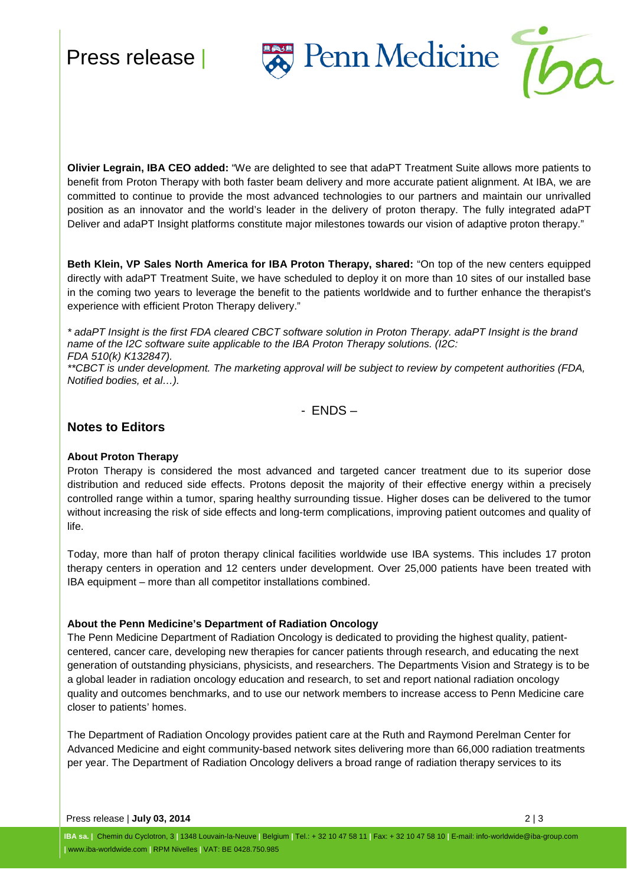# Press release |





**Olivier Legrain, IBA CEO added:** "We are delighted to see that adaPT Treatment Suite allows more patients to benefit from Proton Therapy with both faster beam delivery and more accurate patient alignment. At IBA, we are committed to continue to provide the most advanced technologies to our partners and maintain our unrivalled position as an innovator and the world's leader in the delivery of proton therapy. The fully integrated adaPT Deliver and adaPT Insight platforms constitute major milestones towards our vision of adaptive proton therapy."

**Beth Klein, VP Sales North America for IBA Proton Therapy, shared:** "On top of the new centers equipped directly with adaPT Treatment Suite, we have scheduled to deploy it on more than 10 sites of our installed base in the coming two years to leverage the benefit to the patients worldwide and to further enhance the therapist's experience with efficient Proton Therapy delivery."

*\* adaPT Insight is the first FDA cleared CBCT software solution in Proton Therapy. adaPT Insight is the brand name of the I2C software suite applicable to the IBA Proton Therapy solutions. (I2C: FDA 510(k) K132847).*

*\*\*CBCT is under development. The marketing approval will be subject to review by competent authorities (FDA, Notified bodies, et al…).*

- ENDS –

### **Notes to Editors**

#### **About Proton Therapy**

Proton Therapy is considered the most advanced and targeted cancer treatment due to its superior dose distribution and reduced side effects. Protons deposit the majority of their effective energy within a precisely controlled range within a tumor, sparing healthy surrounding tissue. Higher doses can be delivered to the tumor without increasing the risk of side effects and long-term complications, improving patient outcomes and quality of life.

Today, more than half of proton therapy clinical facilities worldwide use IBA systems. This includes 17 proton therapy centers in operation and 12 centers under development. Over 25,000 patients have been treated with IBA equipment – more than all competitor installations combined.

#### **About the Penn Medicine's Department of Radiation Oncology**

The Penn Medicine Department of Radiation Oncology is dedicated to providing the highest quality, patientcentered, cancer care, developing new therapies for cancer patients through research, and educating the next generation of outstanding physicians, physicists, and researchers. The Departments Vision and Strategy is to be a global leader in radiation oncology education and research, to set and report national radiation oncology quality and outcomes benchmarks, and to use our network members to increase access to Penn Medicine care closer to patients' homes.

The Department of Radiation Oncology provides patient care at the Ruth and Raymond Perelman Center for Advanced Medicine and eight community-based network sites delivering more than 66,000 radiation treatments per year. The Department of Radiation Oncology delivers a broad range of radiation therapy services to its